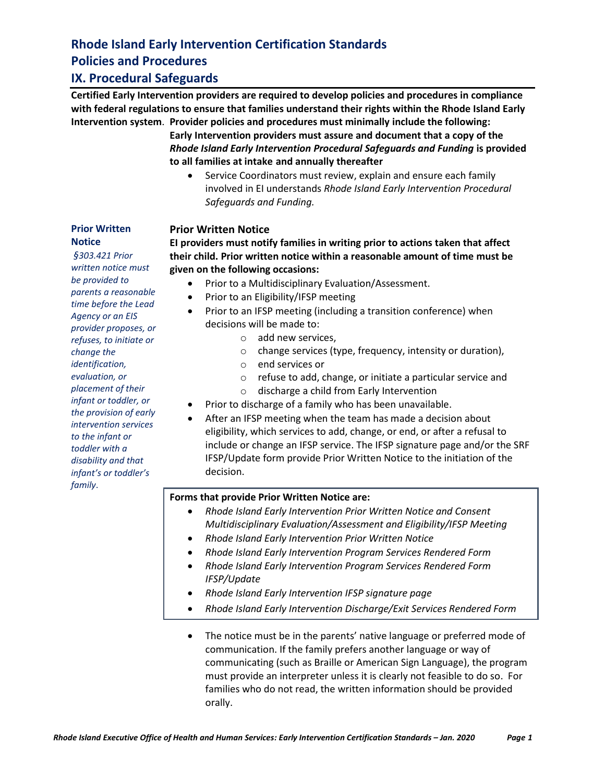## **IX. Procedural Safeguards**

**Certified Early Intervention providers are required to develop policies and procedures in compliance with federal regulations to ensure that families understand their rights within the Rhode Island Early Intervention system**. **Provider policies and procedures must minimally include the following:**

**Early Intervention providers must assure and document that a copy of the**  *Rhode Island Early Intervention Procedural Safeguards and Funding* **is provided to all families at intake and annually thereafter**

Service Coordinators must review, explain and ensure each family involved in EI understands *Rhode Island Early Intervention Procedural Safeguards and Funding.*

### **Prior Written Notice**

**EI providers must notify families in writing prior to actions taken that affect their child. Prior written notice within a reasonable amount of time must be given on the following occasions:**

- Prior to a Multidisciplinary Evaluation/Assessment.
- Prior to an Eligibility/IFSP meeting
- Prior to an IFSP meeting (including a transition conference) when decisions will be made to:
	- o add new services,
	- $\circ$  change services (type, frequency, intensity or duration),
	- o end services or
	- o refuse to add, change, or initiate a particular service and
	- o discharge a child from Early Intervention
- Prior to discharge of a family who has been unavailable.
- After an IFSP meeting when the team has made a decision about eligibility, which services to add, change, or end, or after a refusal to include or change an IFSP service. The IFSP signature page and/or the SRF IFSP/Update form provide Prior Written Notice to the initiation of the decision.

### **Forms that provide Prior Written Notice are:**

- *Rhode Island Early Intervention Prior Written Notice and Consent Multidisciplinary Evaluation/Assessment and Eligibility/IFSP Meeting*
- *Rhode Island Early Intervention Prior Written Notice*
- *Rhode Island Early Intervention Program Services Rendered Form*
- *Rhode Island Early Intervention Program Services Rendered Form IFSP/Update*
- *Rhode Island Early Intervention IFSP signature page*
- *Rhode Island Early Intervention Discharge/Exit Services Rendered Form*
- The notice must be in the parents' native language or preferred mode of communication. If the family prefers another language or way of communicating (such as Braille or American Sign Language), the program must provide an interpreter unless it is clearly not feasible to do so. For families who do not read, the written information should be provided orally.

*§303.421 Prior written notice must be provided to parents a reasonable time before the Lead Agency or an EIS provider proposes, or refuses, to initiate or change the identification, evaluation, or placement of their infant or toddler, or the provision of early intervention services to the infant or toddler with a disability and that infant's or toddler's family*.

**Prior Written** 

**Notice**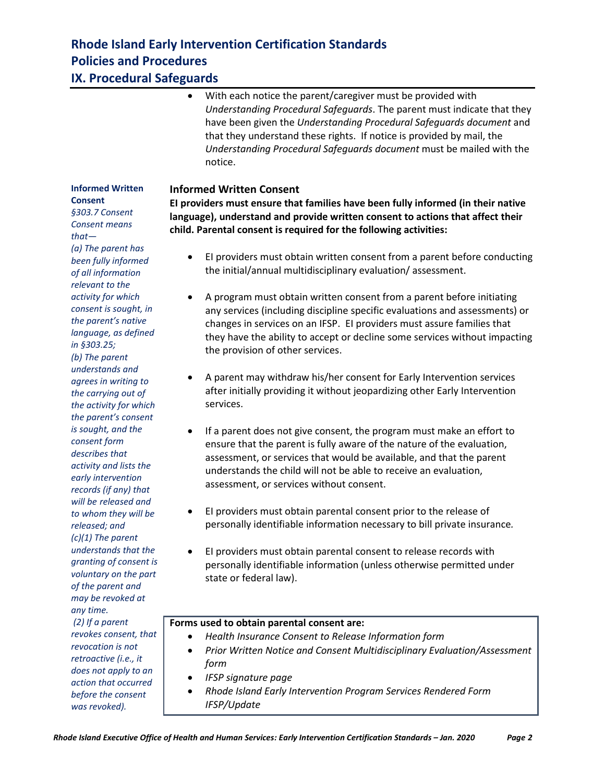## **Rhode Island Early Intervention Certification Standards Policies and Procedures IX. Procedural Safeguards**

### With each notice the parent/caregiver must be provided with *Understanding Procedural Safeguards*. The parent must indicate that they have been given the *Understanding Procedural Safeguards document* and that they understand these rights. If notice is provided by mail, the *Understanding Procedural Safeguards document* must be mailed with the notice.

### **Informed Written Consent**

**EI providers must ensure that families have been fully informed (in their native language), understand and provide written consent to actions that affect their child. Parental consent is required for the following activities:**

- EI providers must obtain written consent from a parent before conducting the initial/annual multidisciplinary evaluation/ assessment.
- A program must obtain written consent from a parent before initiating any services (including discipline specific evaluations and assessments) or changes in services on an IFSP. EI providers must assure families that they have the ability to accept or decline some services without impacting the provision of other services.
- A parent may withdraw his/her consent for Early Intervention services after initially providing it without jeopardizing other Early Intervention services.
- If a parent does not give consent, the program must make an effort to ensure that the parent is fully aware of the nature of the evaluation, assessment, or services that would be available, and that the parent understands the child will not be able to receive an evaluation, assessment, or services without consent.
- EI providers must obtain parental consent prior to the release of personally identifiable information necessary to bill private insurance*.*
- EI providers must obtain parental consent to release records with personally identifiable information (unless otherwise permitted under state or federal law).

### **Forms used to obtain parental consent are:**

- *Health Insurance Consent to Release Information form*
- *Prior Written Notice and Consent Multidisciplinary Evaluation/Assessment form*
- *IFSP signature page*
- *Rhode Island Early Intervention Program Services Rendered Form IFSP/Update*

**Informed Written Consent** *§303.7 Consent Consent means that— (a) The parent has been fully informed of all information relevant to the activity for which consent is sought, in the parent's native language, as defined in §303.25; (b) The parent understands and agrees in writing to the carrying out of the activity for which the parent's consent is sought, and the consent form describes that activity and lists the early intervention records (if any) that will be released and to whom they will be released; and (c)(1) The parent understands that the granting of consent is voluntary on the part of the parent and may be revoked at any time. (2) If a parent revokes consent, that revocation is not* 

*retroactive (i.e., it does not apply to an action that occurred before the consent was revoked).*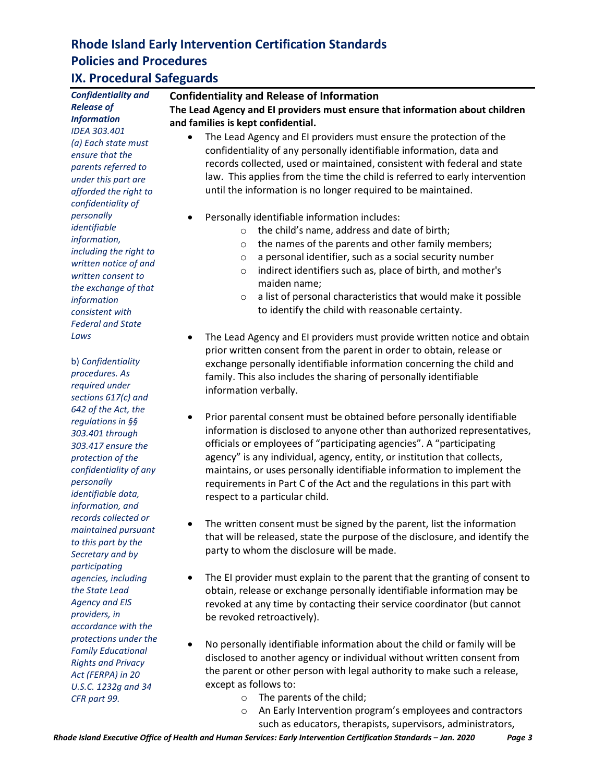## **IX. Procedural Safeguards**

*Confidentiality and Release of Information IDEA 303.401 (a) Each state must ensure that the parents referred to under this part are afforded the right to confidentiality of personally identifiable information, including the right to written notice of and written consent to the exchange of that information consistent with Federal and State Laws*

b) *Confidentiality procedures. As required under sections 617(c) and 642 of the Act, the regulations in §§ 303.401 through 303.417 ensure the protection of the confidentiality of any personally identifiable data, information, and records collected or maintained pursuant to this part by the Secretary and by participating agencies, including the State Lead Agency and EIS providers, in accordance with the protections under the Family Educational Rights and Privacy Act (FERPA) in 20 U.S.C. 1232g and 34 CFR part 99.*

#### **Confidentiality and Release of Information**

**The Lead Agency and EI providers must ensure that information about children and families is kept confidential.**

- The Lead Agency and EI providers must ensure the protection of the confidentiality of any personally identifiable information, data and records collected, used or maintained, consistent with federal and state law. This applies from the time the child is referred to early intervention until the information is no longer required to be maintained.
- Personally identifiable information includes:
	- o the child's name, address and date of birth;
	- o the names of the parents and other family members;
	- o a personal identifier, such as a social security number
	- o indirect identifiers such as, place of birth, and mother's maiden name;
	- $\circ$  a list of personal characteristics that would make it possible to identify the child with reasonable certainty.
- The Lead Agency and EI providers must provide written notice and obtain prior written consent from the parent in order to obtain, release or exchange personally identifiable information concerning the child and family. This also includes the sharing of personally identifiable information verbally.
- Prior parental consent must be obtained before personally identifiable information is disclosed to anyone other than authorized representatives, officials or employees of "participating agencies". A "participating agency" is any individual, agency, entity, or institution that collects, maintains, or uses personally identifiable information to implement the requirements in Part C of the Act and the regulations in this part with respect to a particular child.
- The written consent must be signed by the parent, list the information that will be released, state the purpose of the disclosure, and identify the party to whom the disclosure will be made.
- The EI provider must explain to the parent that the granting of consent to obtain, release or exchange personally identifiable information may be revoked at any time by contacting their service coordinator (but cannot be revoked retroactively).
- No personally identifiable information about the child or family will be disclosed to another agency or individual without written consent from the parent or other person with legal authority to make such a release, except as follows to:
	- o The parents of the child;
	- o An Early Intervention program's employees and contractors such as educators, therapists, supervisors, administrators,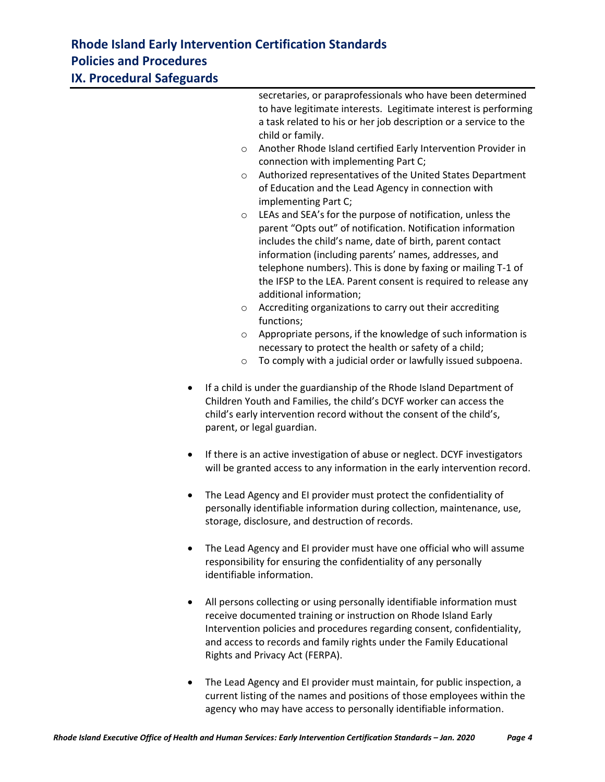**IX. Procedural Safeguards**

|           | secretaries, or paraprofessionals who have been determined<br>to have legitimate interests. Legitimate interest is performing<br>a task related to his or her job description or a service to the<br>child or family.<br>Another Rhode Island certified Early Intervention Provider in<br>$\circ$<br>connection with implementing Part C;<br>Authorized representatives of the United States Department<br>$\circ$<br>of Education and the Lead Agency in connection with<br>implementing Part C;<br>LEAs and SEA's for the purpose of notification, unless the<br>$\circ$<br>parent "Opts out" of notification. Notification information<br>includes the child's name, date of birth, parent contact<br>information (including parents' names, addresses, and<br>telephone numbers). This is done by faxing or mailing T-1 of<br>the IFSP to the LEA. Parent consent is required to release any<br>additional information;<br>Accrediting organizations to carry out their accrediting<br>O<br>functions;<br>Appropriate persons, if the knowledge of such information is<br>$\circ$<br>necessary to protect the health or safety of a child;<br>To comply with a judicial order or lawfully issued subpoena.<br>$\circ$ |
|-----------|---------------------------------------------------------------------------------------------------------------------------------------------------------------------------------------------------------------------------------------------------------------------------------------------------------------------------------------------------------------------------------------------------------------------------------------------------------------------------------------------------------------------------------------------------------------------------------------------------------------------------------------------------------------------------------------------------------------------------------------------------------------------------------------------------------------------------------------------------------------------------------------------------------------------------------------------------------------------------------------------------------------------------------------------------------------------------------------------------------------------------------------------------------------------------------------------------------------------------|
| ٠         | If a child is under the guardianship of the Rhode Island Department of<br>Children Youth and Families, the child's DCYF worker can access the<br>child's early intervention record without the consent of the child's,<br>parent, or legal guardian.                                                                                                                                                                                                                                                                                                                                                                                                                                                                                                                                                                                                                                                                                                                                                                                                                                                                                                                                                                      |
| $\bullet$ | If there is an active investigation of abuse or neglect. DCYF investigators<br>will be granted access to any information in the early intervention record.                                                                                                                                                                                                                                                                                                                                                                                                                                                                                                                                                                                                                                                                                                                                                                                                                                                                                                                                                                                                                                                                |
| ٠         | The Lead Agency and EI provider must protect the confidentiality of<br>personally identifiable information during collection, maintenance, use,<br>storage, disclosure, and destruction of records.                                                                                                                                                                                                                                                                                                                                                                                                                                                                                                                                                                                                                                                                                                                                                                                                                                                                                                                                                                                                                       |
|           | The Lead Agency and EI provider must have one official who will assume<br>responsibility for ensuring the confidentiality of any personally<br>identifiable information.                                                                                                                                                                                                                                                                                                                                                                                                                                                                                                                                                                                                                                                                                                                                                                                                                                                                                                                                                                                                                                                  |
| $\bullet$ | All persons collecting or using personally identifiable information must<br>receive documented training or instruction on Rhode Island Early<br>Intervention policies and procedures regarding consent, confidentiality,<br>and access to records and family rights under the Family Educational<br>Rights and Privacy Act (FERPA).                                                                                                                                                                                                                                                                                                                                                                                                                                                                                                                                                                                                                                                                                                                                                                                                                                                                                       |
|           |                                                                                                                                                                                                                                                                                                                                                                                                                                                                                                                                                                                                                                                                                                                                                                                                                                                                                                                                                                                                                                                                                                                                                                                                                           |

• The Lead Agency and EI provider must maintain, for public inspection, a current listing of the names and positions of those employees within the agency who may have access to personally identifiable information.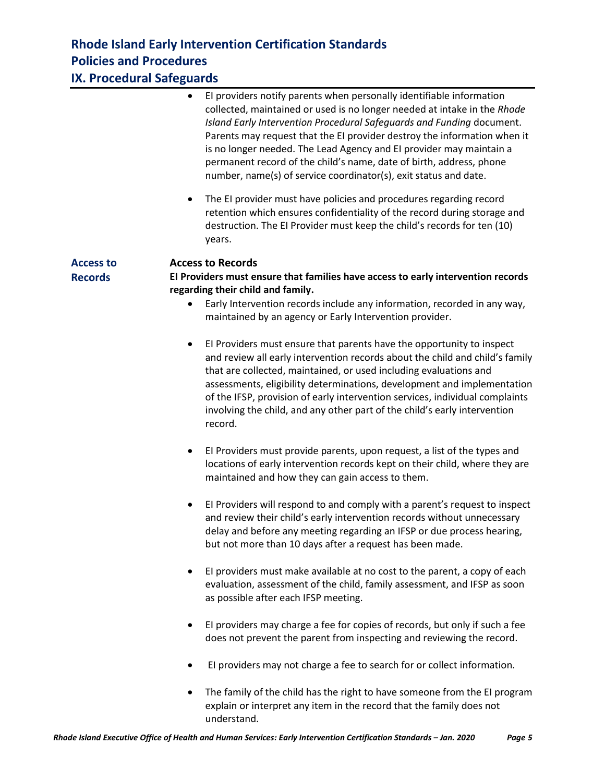## **IX. Procedural Safeguards**

|                                    | El providers notify parents when personally identifiable information<br>$\bullet$<br>collected, maintained or used is no longer needed at intake in the Rhode<br>Island Early Intervention Procedural Safequards and Funding document.<br>Parents may request that the EI provider destroy the information when it<br>is no longer needed. The Lead Agency and EI provider may maintain a<br>permanent record of the child's name, date of birth, address, phone<br>number, name(s) of service coordinator(s), exit status and date. |
|------------------------------------|--------------------------------------------------------------------------------------------------------------------------------------------------------------------------------------------------------------------------------------------------------------------------------------------------------------------------------------------------------------------------------------------------------------------------------------------------------------------------------------------------------------------------------------|
|                                    | The EI provider must have policies and procedures regarding record<br>$\bullet$<br>retention which ensures confidentiality of the record during storage and<br>destruction. The EI Provider must keep the child's records for ten (10)<br>years.                                                                                                                                                                                                                                                                                     |
| <b>Access to</b><br><b>Records</b> | <b>Access to Records</b><br>El Providers must ensure that families have access to early intervention records<br>regarding their child and family.<br>Early Intervention records include any information, recorded in any way,<br>maintained by an agency or Early Intervention provider.                                                                                                                                                                                                                                             |
|                                    | El Providers must ensure that parents have the opportunity to inspect<br>$\bullet$<br>and review all early intervention records about the child and child's family<br>that are collected, maintained, or used including evaluations and<br>assessments, eligibility determinations, development and implementation<br>of the IFSP, provision of early intervention services, individual complaints<br>involving the child, and any other part of the child's early intervention<br>record.                                           |
|                                    | El Providers must provide parents, upon request, a list of the types and<br>$\bullet$<br>locations of early intervention records kept on their child, where they are<br>maintained and how they can gain access to them.                                                                                                                                                                                                                                                                                                             |
|                                    | El Providers will respond to and comply with a parent's request to inspect<br>$\bullet$<br>and review their child's early intervention records without unnecessary<br>delay and before any meeting regarding an IFSP or due process hearing,<br>but not more than 10 days after a request has been made.                                                                                                                                                                                                                             |
|                                    | El providers must make available at no cost to the parent, a copy of each<br>$\bullet$<br>evaluation, assessment of the child, family assessment, and IFSP as soon<br>as possible after each IFSP meeting.                                                                                                                                                                                                                                                                                                                           |
|                                    | El providers may charge a fee for copies of records, but only if such a fee<br>does not prevent the parent from inspecting and reviewing the record.                                                                                                                                                                                                                                                                                                                                                                                 |
|                                    | El providers may not charge a fee to search for or collect information.                                                                                                                                                                                                                                                                                                                                                                                                                                                              |
|                                    | The family of the child has the right to have someone from the EI program<br>explain or interpret any item in the record that the family does not                                                                                                                                                                                                                                                                                                                                                                                    |

understand.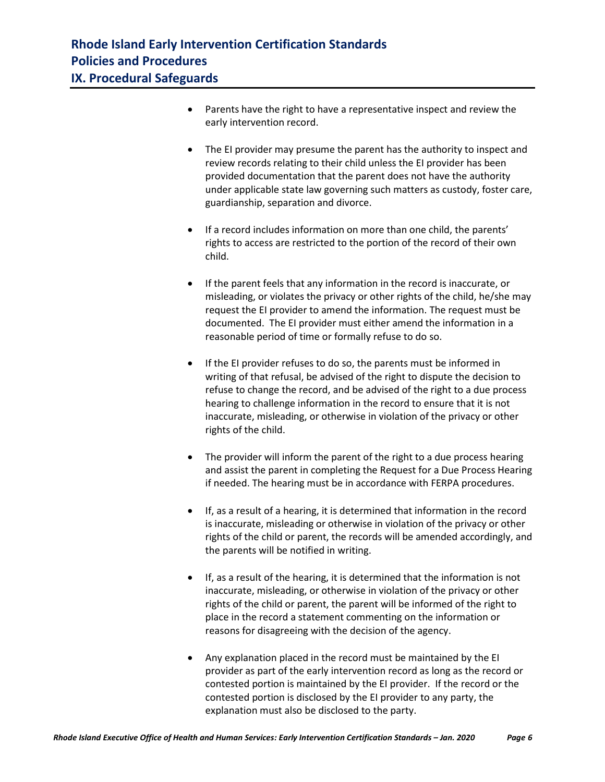- Parents have the right to have a representative inspect and review the early intervention record.
- The EI provider may presume the parent has the authority to inspect and review records relating to their child unless the EI provider has been provided documentation that the parent does not have the authority under applicable state law governing such matters as custody, foster care, guardianship, separation and divorce.
- If a record includes information on more than one child, the parents' rights to access are restricted to the portion of the record of their own child.
- If the parent feels that any information in the record is inaccurate, or misleading, or violates the privacy or other rights of the child, he/she may request the EI provider to amend the information. The request must be documented. The EI provider must either amend the information in a reasonable period of time or formally refuse to do so.
- If the EI provider refuses to do so, the parents must be informed in writing of that refusal, be advised of the right to dispute the decision to refuse to change the record, and be advised of the right to a due process hearing to challenge information in the record to ensure that it is not inaccurate, misleading, or otherwise in violation of the privacy or other rights of the child.
- The provider will inform the parent of the right to a due process hearing and assist the parent in completing the Request for a Due Process Hearing if needed. The hearing must be in accordance with FERPA procedures.
- If, as a result of a hearing, it is determined that information in the record is inaccurate, misleading or otherwise in violation of the privacy or other rights of the child or parent, the records will be amended accordingly, and the parents will be notified in writing.
- If, as a result of the hearing, it is determined that the information is not inaccurate, misleading, or otherwise in violation of the privacy or other rights of the child or parent, the parent will be informed of the right to place in the record a statement commenting on the information or reasons for disagreeing with the decision of the agency.
- Any explanation placed in the record must be maintained by the EI provider as part of the early intervention record as long as the record or contested portion is maintained by the EI provider. If the record or the contested portion is disclosed by the EI provider to any party, the explanation must also be disclosed to the party.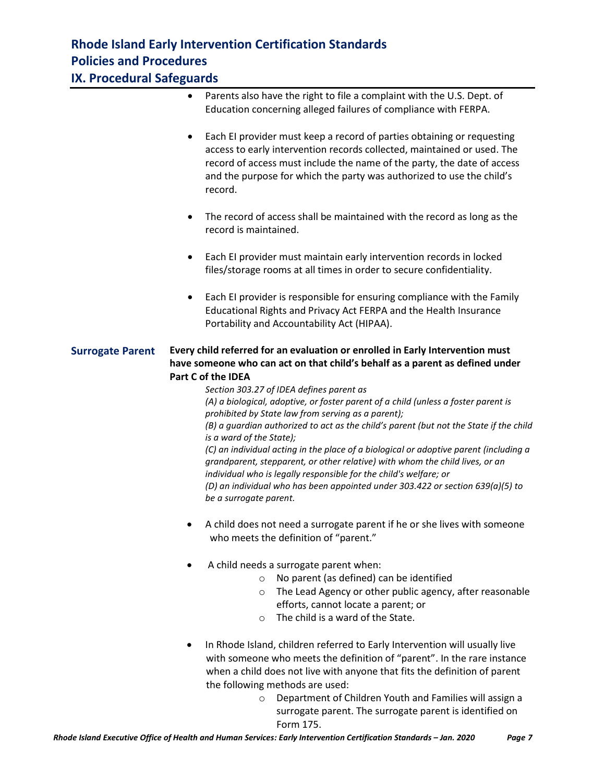**IX. Procedural Safeguards**

- Parents also have the right to file a complaint with the U.S. Dept. of Education concerning alleged failures of compliance with FERPA.
- Each EI provider must keep a record of parties obtaining or requesting access to early intervention records collected, maintained or used. The record of access must include the name of the party, the date of access and the purpose for which the party was authorized to use the child's record.
- The record of access shall be maintained with the record as long as the record is maintained.
- Each EI provider must maintain early intervention records in locked files/storage rooms at all times in order to secure confidentiality.
- Each EI provider is responsible for ensuring compliance with the Family Educational Rights and Privacy Act FERPA and the Health Insurance Portability and Accountability Act (HIPAA).

### **Surrogate Parent Every child referred for an evaluation or enrolled in Early Intervention must have someone who can act on that child's behalf as a parent as defined under Part C of the IDEA**

*Section 303.27 of IDEA defines parent as (A) a biological, adoptive, or foster parent of a child (unless a foster parent is prohibited by State law from serving as a parent); (B) a guardian authorized to act as the child's parent (but not the State if the child is a ward of the State); (C) an individual acting in the place of a biological or adoptive parent (including a grandparent, stepparent, or other relative) with whom the child lives, or an individual who is legally responsible for the child's welfare; or (D) an individual who has been appointed under 303.422 or section 639(a)(5) to be a surrogate parent.*

- A child does not need a surrogate parent if he or she lives with someone who meets the definition of "parent."
- A child needs a surrogate parent when:
	- o No parent (as defined) can be identified
	- o The Lead Agency or other public agency, after reasonable efforts, cannot locate a parent; or
	- o The child is a ward of the State.
- In Rhode Island, children referred to Early Intervention will usually live with someone who meets the definition of "parent". In the rare instance when a child does not live with anyone that fits the definition of parent the following methods are used:
	- o Department of Children Youth and Families will assign a surrogate parent. The surrogate parent is identified on Form 175.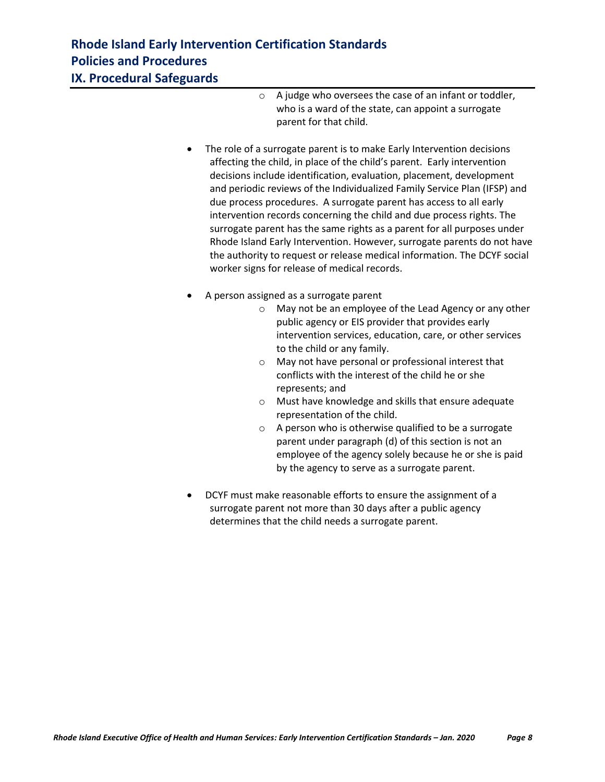## **Rhode Island Early Intervention Certification Standards Policies and Procedures IX. Procedural Safeguards**

- o A judge who oversees the case of an infant or toddler, who is a ward of the state, can appoint a surrogate parent for that child.
- The role of a surrogate parent is to make Early Intervention decisions affecting the child, in place of the child's parent. Early intervention decisions include identification, evaluation, placement, development and periodic reviews of the Individualized Family Service Plan (IFSP) and due process procedures. A surrogate parent has access to all early intervention records concerning the child and due process rights. The surrogate parent has the same rights as a parent for all purposes under Rhode Island Early Intervention. However, surrogate parents do not have the authority to request or release medical information. The DCYF social worker signs for release of medical records.
- A person assigned as a surrogate parent
	- o May not be an employee of the Lead Agency or any other public agency or EIS provider that provides early intervention services, education, care, or other services to the child or any family.
	- o May not have personal or professional interest that conflicts with the interest of the child he or she represents; and
	- o Must have knowledge and skills that ensure adequate representation of the child.
	- o A person who is otherwise qualified to be a surrogate parent under paragraph (d) of this section is not an employee of the agency solely because he or she is paid by the agency to serve as a surrogate parent.
- DCYF must make reasonable efforts to ensure the assignment of a surrogate parent not more than 30 days after a public agency determines that the child needs a surrogate parent.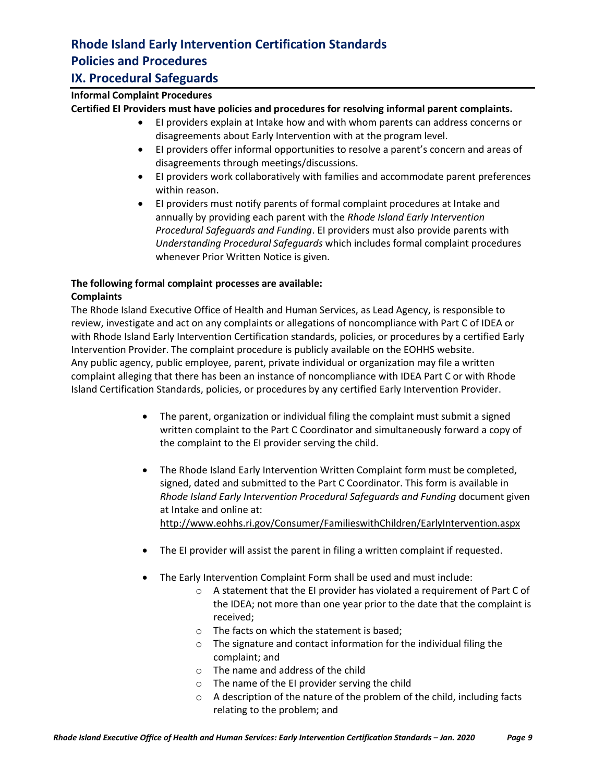## **IX. Procedural Safeguards**

### **Informal Complaint Procedures**

**Certified EI Providers must have policies and procedures for resolving informal parent complaints.** 

- EI providers explain at Intake how and with whom parents can address concerns or disagreements about Early Intervention with at the program level.
- EI providers offer informal opportunities to resolve a parent's concern and areas of disagreements through meetings/discussions.
- EI providers work collaboratively with families and accommodate parent preferences within reason.
- EI providers must notify parents of formal complaint procedures at Intake and annually by providing each parent with the *Rhode Island Early Intervention Procedural Safeguards and Funding*. EI providers must also provide parents with *Understanding Procedural Safeguards* which includes formal complaint procedures whenever Prior Written Notice is given.

#### **The following formal complaint processes are available: Complaints**

The Rhode Island Executive Office of Health and Human Services, as Lead Agency, is responsible to review, investigate and act on any complaints or allegations of noncompliance with Part C of IDEA or with Rhode Island Early Intervention Certification standards, policies, or procedures by a certified Early Intervention Provider. The complaint procedure is publicly available on the EOHHS website. Any public agency, public employee, parent, private individual or organization may file a written complaint alleging that there has been an instance of noncompliance with IDEA Part C or with Rhode Island Certification Standards, policies, or procedures by any certified Early Intervention Provider.

- The parent, organization or individual filing the complaint must submit a signed written complaint to the Part C Coordinator and simultaneously forward a copy of the complaint to the EI provider serving the child.
- The Rhode Island Early Intervention Written Complaint form must be completed, signed, dated and submitted to the Part C Coordinator. This form is available in *Rhode Island Early Intervention Procedural Safeguards and Funding* document given at Intake and online at: <http://www.eohhs.ri.gov/Consumer/FamilieswithChildren/EarlyIntervention.aspx>
- The EI provider will assist the parent in filing a written complaint if requested.
- The Early Intervention Complaint Form shall be used and must include:
	- o A statement that the EI provider has violated a requirement of Part C of the IDEA; not more than one year prior to the date that the complaint is received;
	- o The facts on which the statement is based;
	- o The signature and contact information for the individual filing the complaint; and
	- o The name and address of the child
	- o The name of the EI provider serving the child
	- o A description of the nature of the problem of the child, including facts relating to the problem; and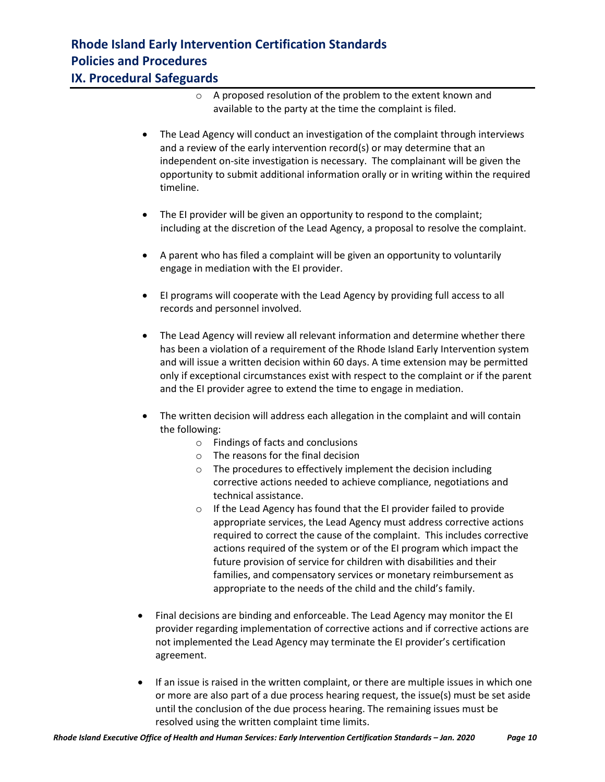## **Rhode Island Early Intervention Certification Standards Policies and Procedures IX. Procedural Safeguards**

- o A proposed resolution of the problem to the extent known and available to the party at the time the complaint is filed.
- The Lead Agency will conduct an investigation of the complaint through interviews and a review of the early intervention record(s) or may determine that an independent on-site investigation is necessary. The complainant will be given the opportunity to submit additional information orally or in writing within the required timeline.
- The EI provider will be given an opportunity to respond to the complaint; including at the discretion of the Lead Agency, a proposal to resolve the complaint.
- A parent who has filed a complaint will be given an opportunity to voluntarily engage in mediation with the EI provider.
- EI programs will cooperate with the Lead Agency by providing full access to all records and personnel involved.
- The Lead Agency will review all relevant information and determine whether there has been a violation of a requirement of the Rhode Island Early Intervention system and will issue a written decision within 60 days. A time extension may be permitted only if exceptional circumstances exist with respect to the complaint or if the parent and the EI provider agree to extend the time to engage in mediation.
- The written decision will address each allegation in the complaint and will contain the following:
	- o Findings of facts and conclusions
	- o The reasons for the final decision
	- o The procedures to effectively implement the decision including corrective actions needed to achieve compliance, negotiations and technical assistance.
	- o If the Lead Agency has found that the EI provider failed to provide appropriate services, the Lead Agency must address corrective actions required to correct the cause of the complaint. This includes corrective actions required of the system or of the EI program which impact the future provision of service for children with disabilities and their families, and compensatory services or monetary reimbursement as appropriate to the needs of the child and the child's family.
- Final decisions are binding and enforceable. The Lead Agency may monitor the EI provider regarding implementation of corrective actions and if corrective actions are not implemented the Lead Agency may terminate the EI provider's certification agreement.
- If an issue is raised in the written complaint, or there are multiple issues in which one or more are also part of a due process hearing request, the issue(s) must be set aside until the conclusion of the due process hearing. The remaining issues must be resolved using the written complaint time limits.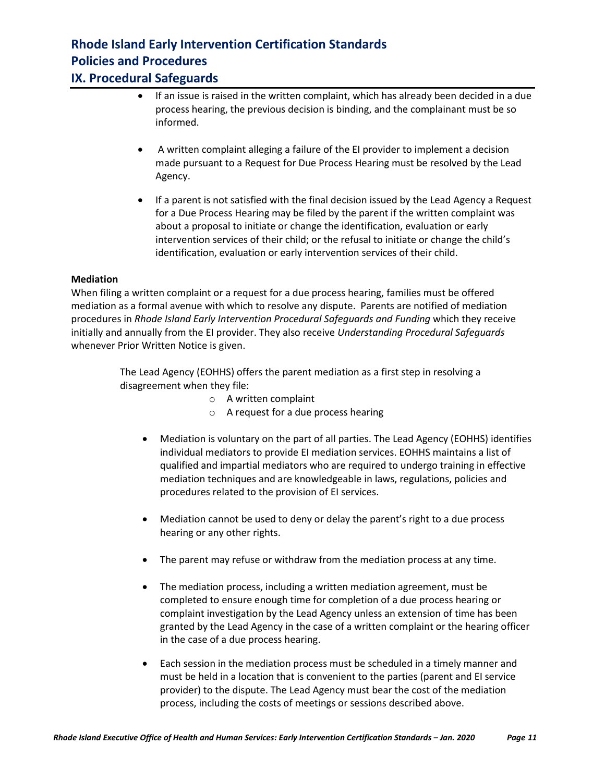### **IX. Procedural Safeguards**

- If an issue is raised in the written complaint, which has already been decided in a due process hearing, the previous decision is binding, and the complainant must be so informed.
- A written complaint alleging a failure of the EI provider to implement a decision made pursuant to a Request for Due Process Hearing must be resolved by the Lead Agency.
- If a parent is not satisfied with the final decision issued by the Lead Agency a Request for a Due Process Hearing may be filed by the parent if the written complaint was about a proposal to initiate or change the identification, evaluation or early intervention services of their child; or the refusal to initiate or change the child's identification, evaluation or early intervention services of their child.

### **Mediation**

When filing a written complaint or a request for a due process hearing, families must be offered mediation as a formal avenue with which to resolve any dispute. Parents are notified of mediation procedures in *Rhode Island Early Intervention Procedural Safeguards and Funding* which they receive initially and annually from the EI provider. They also receive *Understanding Procedural Safeguards* whenever Prior Written Notice is given.

> The Lead Agency (EOHHS) offers the parent mediation as a first step in resolving a disagreement when they file:

- o A written complaint
- o A request for a due process hearing
- Mediation is voluntary on the part of all parties. The Lead Agency (EOHHS) identifies individual mediators to provide EI mediation services. EOHHS maintains a list of qualified and impartial mediators who are required to undergo training in effective mediation techniques and are knowledgeable in laws, regulations, policies and procedures related to the provision of EI services.
- Mediation cannot be used to deny or delay the parent's right to a due process hearing or any other rights.
- The parent may refuse or withdraw from the mediation process at any time.
- The mediation process, including a written mediation agreement, must be completed to ensure enough time for completion of a due process hearing or complaint investigation by the Lead Agency unless an extension of time has been granted by the Lead Agency in the case of a written complaint or the hearing officer in the case of a due process hearing.
- Each session in the mediation process must be scheduled in a timely manner and must be held in a location that is convenient to the parties (parent and EI service provider) to the dispute. The Lead Agency must bear the cost of the mediation process, including the costs of meetings or sessions described above.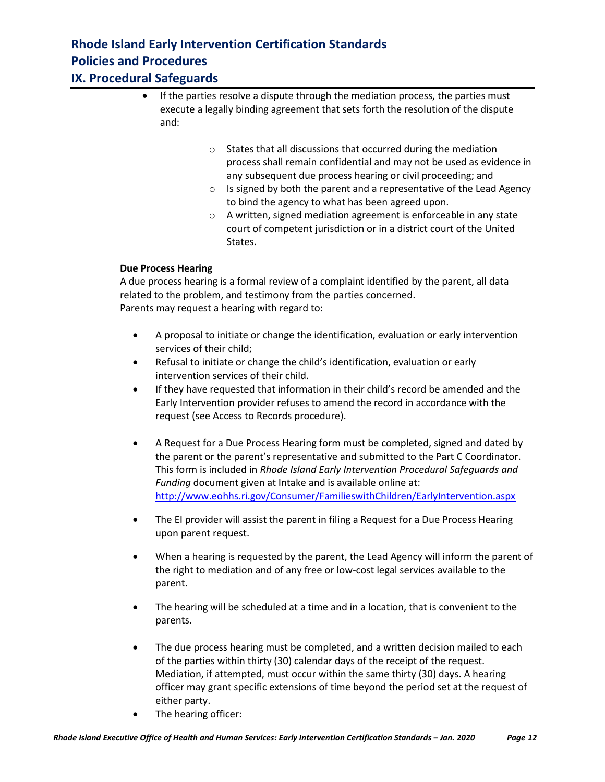## **IX. Procedural Safeguards**

- If the parties resolve a dispute through the mediation process, the parties must execute a legally binding agreement that sets forth the resolution of the dispute and:
	- o States that all discussions that occurred during the mediation process shall remain confidential and may not be used as evidence in any subsequent due process hearing or civil proceeding; and
	- $\circ$  Is signed by both the parent and a representative of the Lead Agency to bind the agency to what has been agreed upon.
	- o A written, signed mediation agreement is enforceable in any state court of competent jurisdiction or in a district court of the United States.

### **Due Process Hearing**

A due process hearing is a formal review of a complaint identified by the parent, all data related to the problem, and testimony from the parties concerned. Parents may request a hearing with regard to:

- A proposal to initiate or change the identification, evaluation or early intervention services of their child;
- Refusal to initiate or change the child's identification, evaluation or early intervention services of their child.
- If they have requested that information in their child's record be amended and the Early Intervention provider refuses to amend the record in accordance with the request (see Access to Records procedure).
- A Request for a Due Process Hearing form must be completed, signed and dated by the parent or the parent's representative and submitted to the Part C Coordinator. This form is included in *Rhode Island Early Intervention Procedural Safeguards and Funding* document given at Intake and is available online at: <http://www.eohhs.ri.gov/Consumer/FamilieswithChildren/EarlyIntervention.aspx>
- The EI provider will assist the parent in filing a Request for a Due Process Hearing upon parent request.
- When a hearing is requested by the parent, the Lead Agency will inform the parent of the right to mediation and of any free or low-cost legal services available to the parent.
- The hearing will be scheduled at a time and in a location, that is convenient to the parents.
- The due process hearing must be completed, and a written decision mailed to each of the parties within thirty (30) calendar days of the receipt of the request. Mediation, if attempted, must occur within the same thirty (30) days. A hearing officer may grant specific extensions of time beyond the period set at the request of either party.
- The hearing officer: